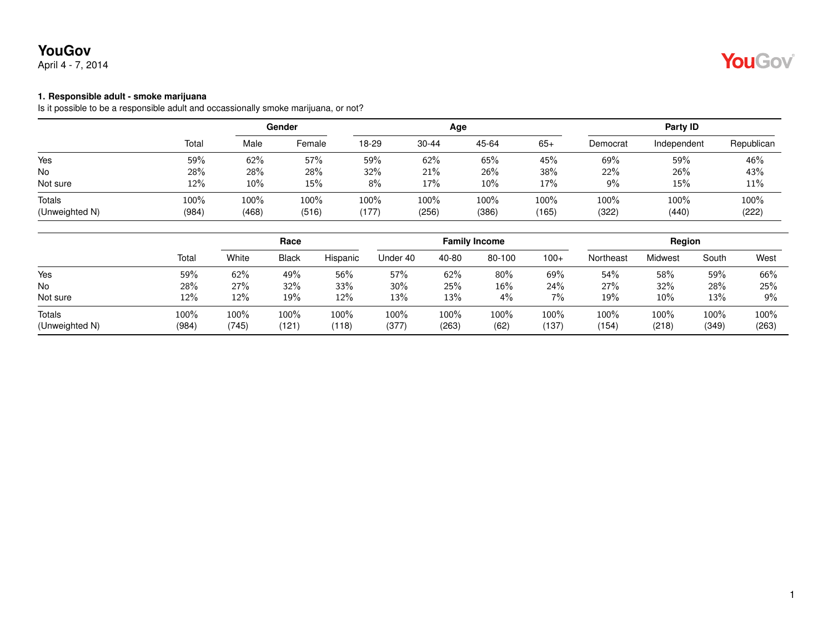# **YouGov**

April 4 - 7, 2014



#### **1. Responsible adult - smoke marijuana**

Is it possible to be a responsible adult and occassionally smoke marijuana, or not?

|                                 |               | Gender        |               |               |               | Age           | Party ID      |               |               |            |
|---------------------------------|---------------|---------------|---------------|---------------|---------------|---------------|---------------|---------------|---------------|------------|
|                                 | Total         | Male          | Female        | 18-29         | 30-44         | 45-64         | $65+$         | Democrat      | Independent   | Republican |
| Yes                             | 59%           | 62%           | 57%           | 59%           | 62%           | 65%           | 45%           | 69%           | 59%           | 46%        |
| No                              | 28%           | 28%           | 28%           | 32%           | 21%           | 26%           | 38%           | 22%           | 26%           | 43%        |
| Not sure                        | 12%           | $10\%$        | 15%           | 8%            | 17%           | 10%           | 17%           | $9\%$         | 15%           | 11%        |
| <b>Totals</b><br>(Unweighted N) | 100%<br>(984) | 100%<br>(468) | 100%<br>(516) | 100%<br>(177) | 100%<br>(256) | 100%<br>(386) | 100%<br>(165) | 100%<br>(322) | 100%<br>(440) | 100%       |
|                                 |               |               |               |               |               |               |               |               |               | (222)      |

|                |       | Race  |              |          |          |       | <b>Family Income</b> |        | Region    |         |       |       |
|----------------|-------|-------|--------------|----------|----------|-------|----------------------|--------|-----------|---------|-------|-------|
|                | Total | White | <b>Black</b> | Hispanic | Under 40 | 40-80 | 80-100               | $100+$ | Northeast | Midwest | South | West  |
| Yes            | 59%   | 62%   | 49%          | 56%      | 57%      | 62%   | 80%                  | 69%    | 54%       | 58%     | 59%   | 66%   |
| No             | 28%   | 27%   | 32%          | 33%      | 30%      | 25%   | 16%                  | 24%    | 27%       | 32%     | 28%   | 25%   |
| Not sure       | 12%   | 12%   | 19%          | 12%      | 13%      | 13%   | 4%                   | 7%     | 19%       | $10\%$  | 13%   | 9%    |
| <b>Totals</b>  | 100%  | 100%  | 100%         | 100%     | 100%     | 100%  | 100%                 | 100%   | 100%      | 100%    | 100%  | 100%  |
| (Unweighted N) | (984) | (745) | (121)        | (118)    | (377)    | (263) | (62)                 | (137)  | (154)     | (218)   | (349) | (263) |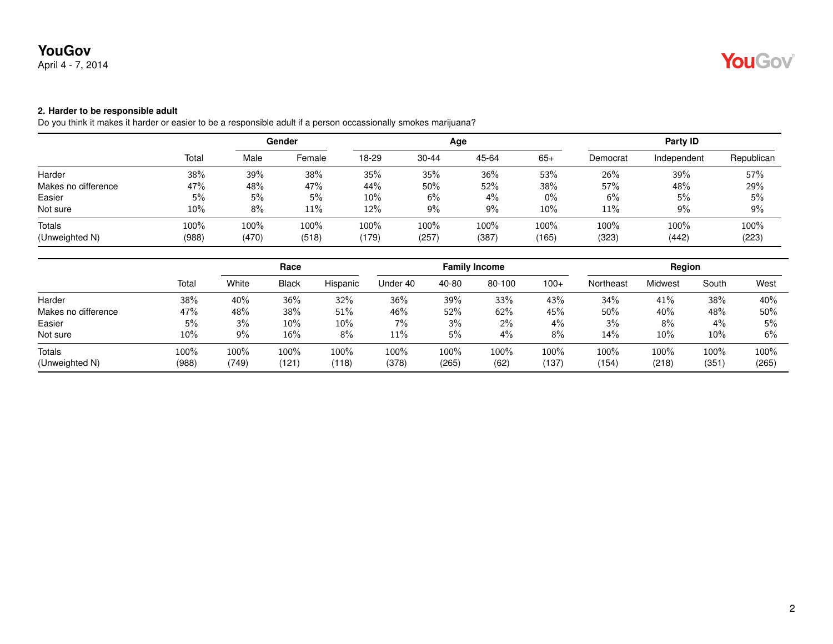# April 4 - 7, 2014

## **2. Harder to be responsible adult**

Do you think it makes it harder or easier to be a responsible adult if a person occassionally smokes marijuana?

|                     |       | Gender |        |        |           | Age   | Party ID |          |             |            |
|---------------------|-------|--------|--------|--------|-----------|-------|----------|----------|-------------|------------|
|                     | Total | Male   | Female | 18-29  | $30 - 44$ | 45-64 | $65+$    | Democrat | Independent | Republican |
| Harder              | 38%   | 39%    | 38%    | 35%    | 35%       | 36%   | 53%      | 26%      | 39%         | 57%        |
| Makes no difference | 47%   | 48%    | 47%    | 44%    | $50\%$    | 52%   | 38%      | 57%      | 48%         | 29%        |
| Easier              | 5%    | 5%     | 5%     | $10\%$ | $6\%$     | 4%    | $0\%$    | 6%       | 5%          | 5%         |
| Not sure            | 10%   | 8%     | 11%    | 12%    | $9\%$     | 9%    | 10%      | 11%      | $9\%$       | 9%         |
| Totals              | 100%  | 100%   | 100%   | 100%   | $100\%$   | 100%  | 100%     | 100%     | 100%        | 100%       |
| (Unweighted N)      | (988) | (470)  | (518)  | (179)  | (257)     | (387) | (165)    | (323)    | (442)       | (223)      |

|                     | Total   | Race  |              |          |          |       | <b>Family Income</b> |        | Region    |         |       |       |
|---------------------|---------|-------|--------------|----------|----------|-------|----------------------|--------|-----------|---------|-------|-------|
|                     |         | White | <b>Black</b> | Hispanic | Under 40 | 40-80 | 80-100               | $100+$ | Northeast | Midwest | South | West  |
| Harder              | 38%     | 40%   | 36%          | 32%      | 36%      | 39%   | 33%                  | 43%    | 34%       | 41%     | 38%   | 40%   |
| Makes no difference | 47%     | 48%   | 38%          | 51%      | 46%      | 52%   | 62%                  | 45%    | 50%       | 40%     | 48%   | 50%   |
| Easier              | 5%      | 3%    | $10\%$       | $10\%$   | 7%       | 3%    | 2%                   | $4\%$  | 3%        | 8%      | 4%    | 5%    |
| Not sure            | 10%     | 9%    | $16\%$       | 8%       | 11%      | 5%    | 4%                   | 8%     | 14%       | $10\%$  | 10%   | 6%    |
| Totals              | $100\%$ | 100%  | 100%         | $100\%$  | 100%     | 100%  | 100%                 | 100%   | 100%      | 100%    | 100%  | 100%  |
| (Unweighted N)      | (988)   | (749) | (121)        | (118)    | (378)    | (265) | (62)                 | (137)  | (154)     | (218)   | (351) | (265) |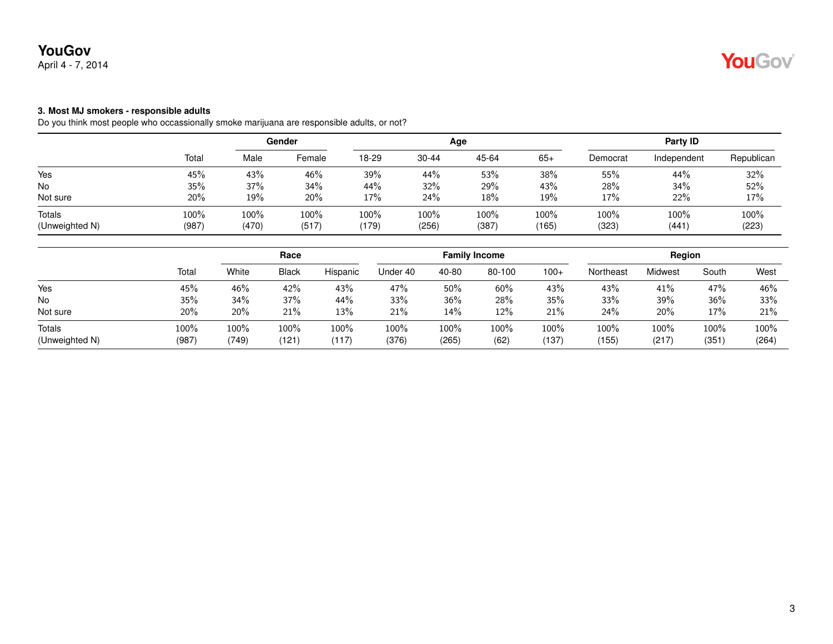## **3. Most MJ smokers - responsible adults**

Do you think most people who occassionally smoke marijuana are responsible adults, or not?

|                          |               | Gender        |               |               |               | Age           | Party ID      |               |               |               |
|--------------------------|---------------|---------------|---------------|---------------|---------------|---------------|---------------|---------------|---------------|---------------|
|                          | Total         | Male          | Female        | 18-29         | $30 - 44$     | 45-64         | $65+$         | Democrat      | Independent   | Republican    |
| Yes                      | 45%           | 43%           | 46%           | 39%           | 44%           | 53%           | 38%           | 55%           | 44%           | 32%           |
| <b>No</b>                | 35%           | 37%           | 34%           | 44%           | 32%           | 29%           | 43%           | 28%           | 34%           | 52%           |
| Not sure                 | 20%           | 19%           | 20%           | 17%           | 24%           | 18%           | 19%           | 17%           | 22%           | 17%           |
| Totals<br>(Unweighted N) | 100%<br>(987) | 100%<br>(470) | 100%<br>(517) | 100%<br>(179) | 100%<br>(256) | 100%<br>(387) | 100%<br>(165) | 100%<br>(323) | 100%<br>(441) | 100%<br>(223) |

|                |         | Race  |              |          |          |       | <b>Family Income</b> |        | Region    |         |       |       |
|----------------|---------|-------|--------------|----------|----------|-------|----------------------|--------|-----------|---------|-------|-------|
|                | Total   | White | <b>Black</b> | Hispanic | Under 40 | 40-80 | 80-100               | $100+$ | Northeast | Midwest | South | West  |
| Yes            | 45%     | 46%   | 42%          | 43%      | 47%      | 50%   | 60%                  | 43%    | 43%       | 41%     | 47%   | 46%   |
| <b>No</b>      | 35%     | 34%   | 37%          | 44%      | 33%      | 36%   | 28%                  | 35%    | 33%       | 39%     | 36%   | 33%   |
| Not sure       | 20%     | 20%   | 21%          | 13%      | 21%      | 14%   | 12%                  | 21%    | 24%       | 20%     | 17%   | 21%   |
| Totals         | $100\%$ | 100%  | 100%         | 100%     | 100%     | 100%  | 100%                 | 100%   | 100%      | 100%    | 100%  | 100%  |
| (Unweighted N) | (987)   | (749) | (121)        | (117)    | (376)    | (265) | (62)                 | (137)  | (155)     | (217)   | (351) | (264) |